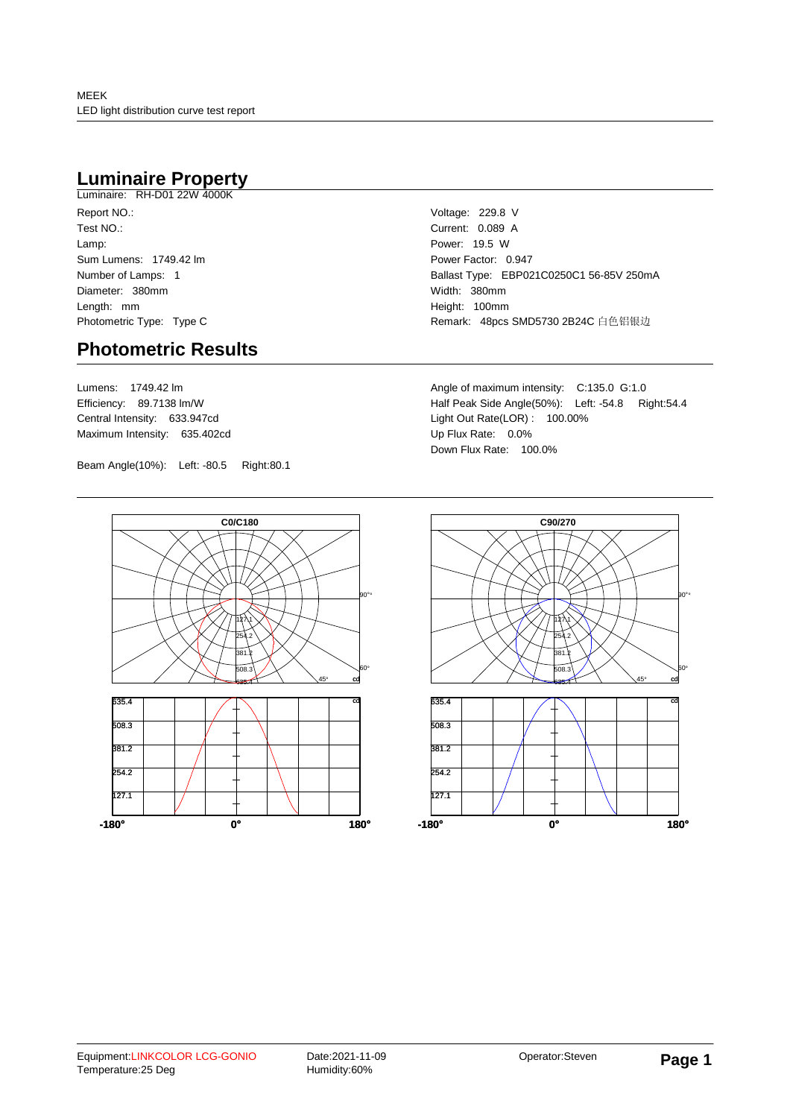## **Luminaire Property**

Luminaire: RH-D01 22W 4000K Report NO.: Test NO.: Lamp: Sum Lumens: 1749.42 lm Number of Lamps: 1 Diameter: 380mm Length: mm Photometric Type: Type C

### **Photometric Results**

Lumens: 1749.42 lm Efficiency: 89.7138 lm/W Central Intensity: 633.947cd Maximum Intensity: 635.402cd

Beam Angle(10%): Left: -80.5 Right:80.1

Voltage: 229.8 V Current: 0.089 A Power: 19.5 W Power Factor: 0.947 Ballast Type: EBP021C0250C1 56-85V 250mA Width: 380mm Height: 100mm Remark: 48pcs SMD5730 2B24C 白色铝银边

Angle of maximum intensity: C:135.0 G:1.0 Half Peak Side Angle(50%): Left: -54.8 Right:54.4 Light Out Rate(LOR) : 100.00% Up Flux Rate: 0.0% Down Flux Rate: 100.0%



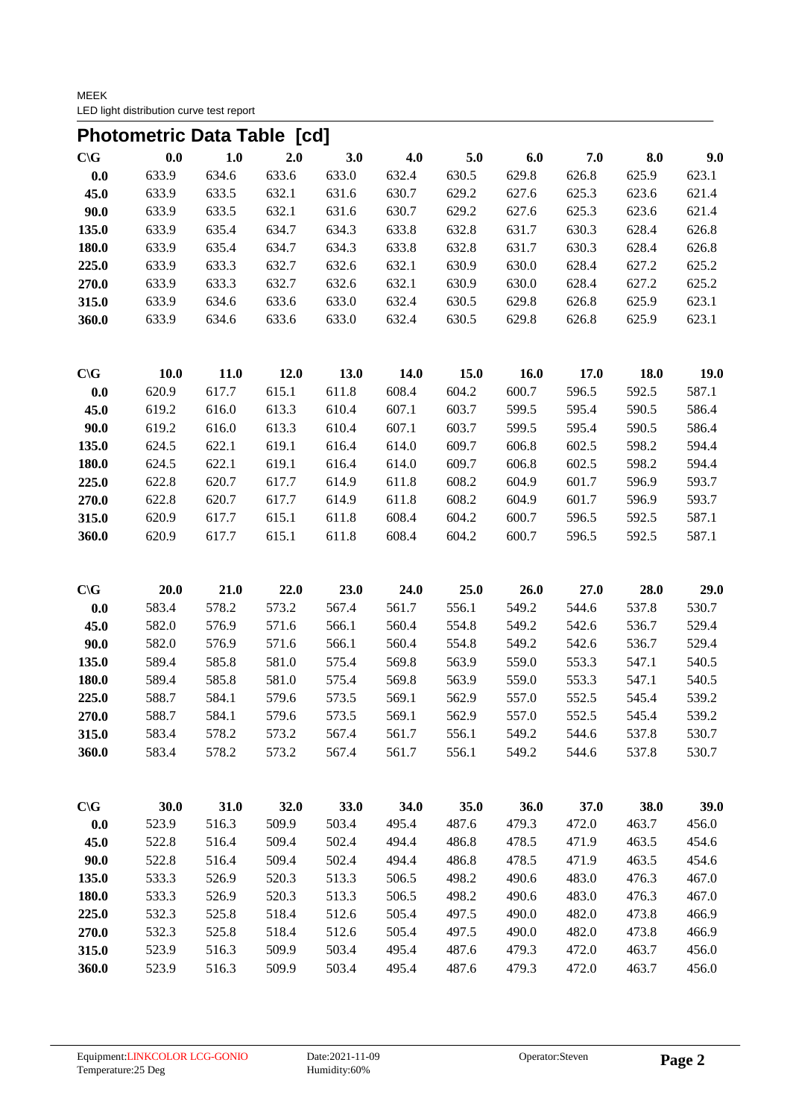MEEK LED light distribution curve test report

|                 | Photometric Data Table [cd] |       |       |       |       |       |       |       |       |       |
|-----------------|-----------------------------|-------|-------|-------|-------|-------|-------|-------|-------|-------|
| $C \setminus G$ | 0.0                         | 1.0   | 2.0   | 3.0   | 4.0   | 5.0   | 6.0   | 7.0   | 8.0   | 9.0   |
| 0.0             | 633.9                       | 634.6 | 633.6 | 633.0 | 632.4 | 630.5 | 629.8 | 626.8 | 625.9 | 623.1 |
| 45.0            | 633.9                       | 633.5 | 632.1 | 631.6 | 630.7 | 629.2 | 627.6 | 625.3 | 623.6 | 621.4 |
| 90.0            | 633.9                       | 633.5 | 632.1 | 631.6 | 630.7 | 629.2 | 627.6 | 625.3 | 623.6 | 621.4 |
| 135.0           | 633.9                       | 635.4 | 634.7 | 634.3 | 633.8 | 632.8 | 631.7 | 630.3 | 628.4 | 626.8 |
| 180.0           | 633.9                       | 635.4 | 634.7 | 634.3 | 633.8 | 632.8 | 631.7 | 630.3 | 628.4 | 626.8 |
| 225.0           | 633.9                       | 633.3 | 632.7 | 632.6 | 632.1 | 630.9 | 630.0 | 628.4 | 627.2 | 625.2 |
| 270.0           | 633.9                       | 633.3 | 632.7 | 632.6 | 632.1 | 630.9 | 630.0 | 628.4 | 627.2 | 625.2 |
| 315.0           | 633.9                       | 634.6 | 633.6 | 633.0 | 632.4 | 630.5 | 629.8 | 626.8 | 625.9 | 623.1 |
| 360.0           | 633.9                       | 634.6 | 633.6 | 633.0 | 632.4 | 630.5 | 629.8 | 626.8 | 625.9 | 623.1 |
| $C \setminus G$ | 10.0                        | 11.0  | 12.0  | 13.0  | 14.0  | 15.0  | 16.0  | 17.0  | 18.0  | 19.0  |
| 0.0             | 620.9                       | 617.7 | 615.1 | 611.8 | 608.4 | 604.2 | 600.7 | 596.5 | 592.5 | 587.1 |
| 45.0            | 619.2                       | 616.0 | 613.3 | 610.4 | 607.1 | 603.7 | 599.5 | 595.4 | 590.5 | 586.4 |
| 90.0            | 619.2                       | 616.0 | 613.3 | 610.4 | 607.1 | 603.7 | 599.5 | 595.4 | 590.5 | 586.4 |
| 135.0           | 624.5                       | 622.1 | 619.1 | 616.4 | 614.0 | 609.7 | 606.8 | 602.5 | 598.2 | 594.4 |
| 180.0           | 624.5                       | 622.1 | 619.1 | 616.4 | 614.0 | 609.7 | 606.8 | 602.5 | 598.2 | 594.4 |
| 225.0           | 622.8                       | 620.7 | 617.7 | 614.9 | 611.8 | 608.2 | 604.9 | 601.7 | 596.9 | 593.7 |
| 270.0           | 622.8                       | 620.7 | 617.7 | 614.9 | 611.8 | 608.2 | 604.9 | 601.7 | 596.9 | 593.7 |
| 315.0           | 620.9                       | 617.7 | 615.1 | 611.8 | 608.4 | 604.2 | 600.7 | 596.5 | 592.5 | 587.1 |
| 360.0           | 620.9                       | 617.7 | 615.1 | 611.8 | 608.4 | 604.2 | 600.7 | 596.5 | 592.5 | 587.1 |
| $C \setminus G$ | 20.0                        | 21.0  | 22.0  | 23.0  | 24.0  | 25.0  | 26.0  | 27.0  | 28.0  | 29.0  |
| 0.0             | 583.4                       | 578.2 | 573.2 | 567.4 | 561.7 | 556.1 | 549.2 | 544.6 | 537.8 | 530.7 |
| 45.0            | 582.0                       | 576.9 | 571.6 | 566.1 | 560.4 | 554.8 | 549.2 | 542.6 | 536.7 | 529.4 |
| 90.0            | 582.0                       | 576.9 | 571.6 | 566.1 | 560.4 | 554.8 | 549.2 | 542.6 | 536.7 | 529.4 |
| 135.0           | 589.4                       | 585.8 | 581.0 | 575.4 | 569.8 | 563.9 | 559.0 | 553.3 | 547.1 | 540.5 |
| 180.0           | 589.4                       | 585.8 | 581.0 | 575.4 | 569.8 | 563.9 | 559.0 | 553.3 | 547.1 | 540.5 |
| 225.0           | 588.7                       | 584.1 | 579.6 | 573.5 | 569.1 | 562.9 | 557.0 | 552.5 | 545.4 | 539.2 |
| 270.0           | 588.7                       | 584.1 | 579.6 | 573.5 | 569.1 | 562.9 | 557.0 | 552.5 | 545.4 | 539.2 |
| 315.0           | 583.4                       | 578.2 | 573.2 | 567.4 | 561.7 | 556.1 | 549.2 | 544.6 | 537.8 | 530.7 |
| 360.0           | 583.4                       | 578.2 | 573.2 | 567.4 | 561.7 | 556.1 | 549.2 | 544.6 | 537.8 | 530.7 |
| $C \setminus G$ | 30.0                        | 31.0  | 32.0  | 33.0  | 34.0  | 35.0  | 36.0  | 37.0  | 38.0  | 39.0  |
| 0.0             | 523.9                       | 516.3 | 509.9 | 503.4 | 495.4 | 487.6 | 479.3 | 472.0 | 463.7 | 456.0 |
| 45.0            | 522.8                       | 516.4 | 509.4 | 502.4 | 494.4 | 486.8 | 478.5 | 471.9 | 463.5 | 454.6 |
| 90.0            | 522.8                       | 516.4 | 509.4 | 502.4 | 494.4 | 486.8 | 478.5 | 471.9 | 463.5 | 454.6 |
| 135.0           | 533.3                       | 526.9 | 520.3 | 513.3 | 506.5 | 498.2 | 490.6 | 483.0 | 476.3 | 467.0 |
| 180.0           | 533.3                       | 526.9 | 520.3 | 513.3 | 506.5 | 498.2 | 490.6 | 483.0 | 476.3 | 467.0 |
| 225.0           | 532.3                       | 525.8 | 518.4 | 512.6 | 505.4 | 497.5 | 490.0 | 482.0 | 473.8 | 466.9 |
| 270.0           | 532.3                       | 525.8 | 518.4 | 512.6 | 505.4 | 497.5 | 490.0 | 482.0 | 473.8 | 466.9 |
| 315.0           | 523.9                       | 516.3 | 509.9 | 503.4 | 495.4 | 487.6 | 479.3 | 472.0 | 463.7 | 456.0 |
| 360.0           | 523.9                       | 516.3 | 509.9 | 503.4 | 495.4 | 487.6 | 479.3 | 472.0 | 463.7 | 456.0 |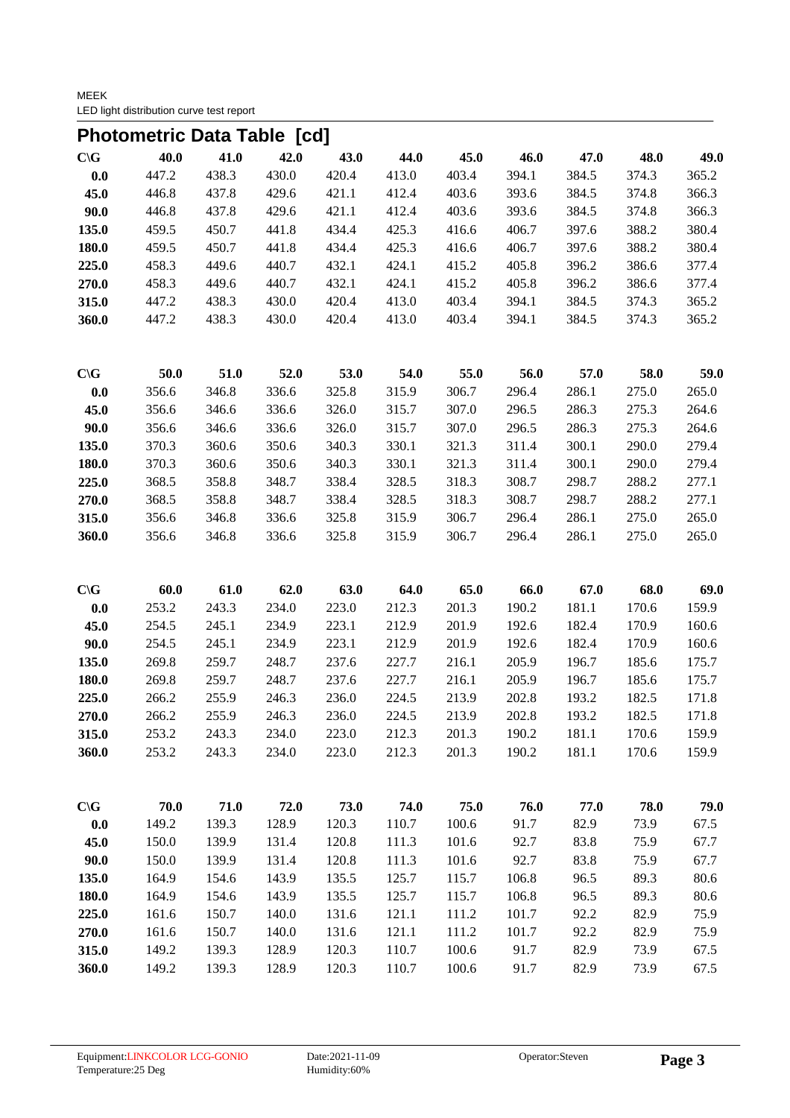MEEK LED light distribution curve test report

|                 | <b>Photometric Data Table [cd]</b> |       |       |       |       |       |       |       |       |       |
|-----------------|------------------------------------|-------|-------|-------|-------|-------|-------|-------|-------|-------|
| $C \setminus G$ | 40.0                               | 41.0  | 42.0  | 43.0  | 44.0  | 45.0  | 46.0  | 47.0  | 48.0  | 49.0  |
| 0.0             | 447.2                              | 438.3 | 430.0 | 420.4 | 413.0 | 403.4 | 394.1 | 384.5 | 374.3 | 365.2 |
| 45.0            | 446.8                              | 437.8 | 429.6 | 421.1 | 412.4 | 403.6 | 393.6 | 384.5 | 374.8 | 366.3 |
| 90.0            | 446.8                              | 437.8 | 429.6 | 421.1 | 412.4 | 403.6 | 393.6 | 384.5 | 374.8 | 366.3 |
| 135.0           | 459.5                              | 450.7 | 441.8 | 434.4 | 425.3 | 416.6 | 406.7 | 397.6 | 388.2 | 380.4 |
| 180.0           | 459.5                              | 450.7 | 441.8 | 434.4 | 425.3 | 416.6 | 406.7 | 397.6 | 388.2 | 380.4 |
| 225.0           | 458.3                              | 449.6 | 440.7 | 432.1 | 424.1 | 415.2 | 405.8 | 396.2 | 386.6 | 377.4 |
| 270.0           | 458.3                              | 449.6 | 440.7 | 432.1 | 424.1 | 415.2 | 405.8 | 396.2 | 386.6 | 377.4 |
| 315.0           | 447.2                              | 438.3 | 430.0 | 420.4 | 413.0 | 403.4 | 394.1 | 384.5 | 374.3 | 365.2 |
| 360.0           | 447.2                              | 438.3 | 430.0 | 420.4 | 413.0 | 403.4 | 394.1 | 384.5 | 374.3 | 365.2 |
| $C \setminus G$ | 50.0                               | 51.0  | 52.0  | 53.0  | 54.0  | 55.0  | 56.0  | 57.0  | 58.0  | 59.0  |
| $\mathbf{0.0}$  | 356.6                              | 346.8 | 336.6 | 325.8 | 315.9 | 306.7 | 296.4 | 286.1 | 275.0 | 265.0 |
| 45.0            | 356.6                              | 346.6 | 336.6 | 326.0 | 315.7 | 307.0 | 296.5 | 286.3 | 275.3 | 264.6 |
| 90.0            | 356.6                              | 346.6 | 336.6 | 326.0 | 315.7 | 307.0 | 296.5 | 286.3 | 275.3 | 264.6 |
| 135.0           | 370.3                              | 360.6 | 350.6 | 340.3 | 330.1 | 321.3 | 311.4 | 300.1 | 290.0 | 279.4 |
| 180.0           | 370.3                              | 360.6 | 350.6 | 340.3 | 330.1 | 321.3 | 311.4 | 300.1 | 290.0 | 279.4 |
| 225.0           | 368.5                              | 358.8 | 348.7 | 338.4 | 328.5 | 318.3 | 308.7 | 298.7 | 288.2 | 277.1 |
| 270.0           | 368.5                              | 358.8 | 348.7 | 338.4 | 328.5 | 318.3 | 308.7 | 298.7 | 288.2 | 277.1 |
| 315.0           | 356.6                              | 346.8 | 336.6 | 325.8 | 315.9 | 306.7 | 296.4 | 286.1 | 275.0 | 265.0 |
| 360.0           | 356.6                              | 346.8 | 336.6 | 325.8 | 315.9 | 306.7 | 296.4 | 286.1 | 275.0 | 265.0 |
| $C \setminus G$ | 60.0                               | 61.0  | 62.0  | 63.0  | 64.0  | 65.0  | 66.0  | 67.0  | 68.0  | 69.0  |
| 0.0             | 253.2                              | 243.3 | 234.0 | 223.0 | 212.3 | 201.3 | 190.2 | 181.1 | 170.6 | 159.9 |
| 45.0            | 254.5                              | 245.1 | 234.9 | 223.1 | 212.9 | 201.9 | 192.6 | 182.4 | 170.9 | 160.6 |
| 90.0            | 254.5                              | 245.1 | 234.9 | 223.1 | 212.9 | 201.9 | 192.6 | 182.4 | 170.9 | 160.6 |
| 135.0           | 269.8                              | 259.7 | 248.7 | 237.6 | 227.7 | 216.1 | 205.9 | 196.7 | 185.6 | 175.7 |
| 180.0           | 269.8                              | 259.7 | 248.7 | 237.6 | 227.7 | 216.1 | 205.9 | 196.7 | 185.6 | 175.7 |
| 225.0           | 266.2                              | 255.9 | 246.3 | 236.0 | 224.5 | 213.9 | 202.8 | 193.2 | 182.5 | 171.8 |
| 270.0           | 266.2                              | 255.9 | 246.3 | 236.0 | 224.5 | 213.9 | 202.8 | 193.2 | 182.5 | 171.8 |
| 315.0           | 253.2                              | 243.3 | 234.0 | 223.0 | 212.3 | 201.3 | 190.2 | 181.1 | 170.6 | 159.9 |
| 360.0           | 253.2                              | 243.3 | 234.0 | 223.0 | 212.3 | 201.3 | 190.2 | 181.1 | 170.6 | 159.9 |
| $C \setminus G$ | 70.0                               | 71.0  | 72.0  | 73.0  | 74.0  | 75.0  | 76.0  | 77.0  | 78.0  | 79.0  |
| $0.0\,$         | 149.2                              | 139.3 | 128.9 | 120.3 | 110.7 | 100.6 | 91.7  | 82.9  | 73.9  | 67.5  |
| 45.0            | 150.0                              | 139.9 | 131.4 | 120.8 | 111.3 | 101.6 | 92.7  | 83.8  | 75.9  | 67.7  |
| 90.0            | 150.0                              | 139.9 | 131.4 | 120.8 | 111.3 | 101.6 | 92.7  | 83.8  | 75.9  | 67.7  |
| 135.0           | 164.9                              | 154.6 | 143.9 | 135.5 | 125.7 | 115.7 | 106.8 | 96.5  | 89.3  | 80.6  |
| 180.0           | 164.9                              | 154.6 | 143.9 | 135.5 | 125.7 | 115.7 | 106.8 | 96.5  | 89.3  | 80.6  |
| 225.0           | 161.6                              | 150.7 | 140.0 | 131.6 | 121.1 | 111.2 | 101.7 | 92.2  | 82.9  | 75.9  |
| 270.0           | 161.6                              | 150.7 | 140.0 | 131.6 | 121.1 | 111.2 | 101.7 | 92.2  | 82.9  | 75.9  |
| 315.0           | 149.2                              | 139.3 | 128.9 | 120.3 | 110.7 | 100.6 | 91.7  | 82.9  | 73.9  | 67.5  |
| 360.0           | 149.2                              | 139.3 | 128.9 | 120.3 | 110.7 | 100.6 | 91.7  | 82.9  | 73.9  | 67.5  |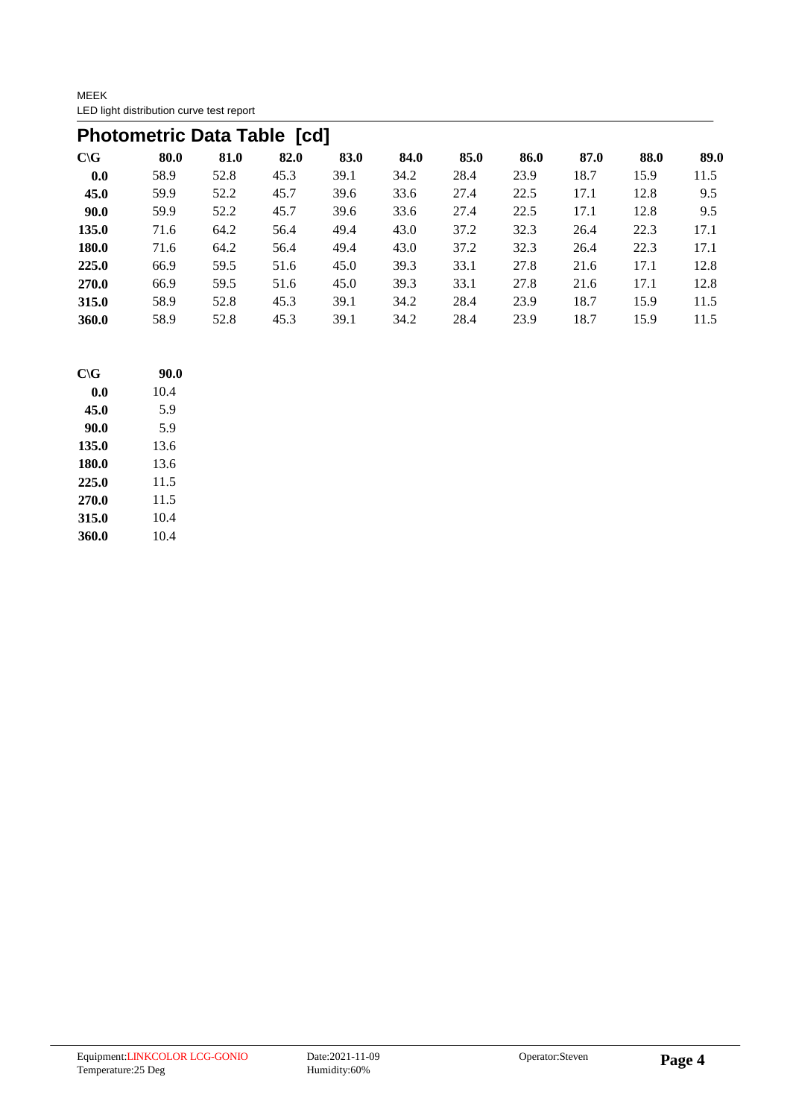MEEK LED light distribution curve test report

|                 | <b>Photometric Data Table [cd]</b> |      |      |      |      |      |      |      |      |      |  |  |  |  |
|-----------------|------------------------------------|------|------|------|------|------|------|------|------|------|--|--|--|--|
| $C \setminus G$ | 80.0                               | 81.0 | 82.0 | 83.0 | 84.0 | 85.0 | 86.0 | 87.0 | 88.0 | 89.0 |  |  |  |  |
| 0.0             | 58.9                               | 52.8 | 45.3 | 39.1 | 34.2 | 28.4 | 23.9 | 18.7 | 15.9 | 11.5 |  |  |  |  |
| 45.0            | 59.9                               | 52.2 | 45.7 | 39.6 | 33.6 | 27.4 | 22.5 | 17.1 | 12.8 | 9.5  |  |  |  |  |
| 90.0            | 59.9                               | 52.2 | 45.7 | 39.6 | 33.6 | 27.4 | 22.5 | 17.1 | 12.8 | 9.5  |  |  |  |  |
| 135.0           | 71.6                               | 64.2 | 56.4 | 49.4 | 43.0 | 37.2 | 32.3 | 26.4 | 22.3 | 17.1 |  |  |  |  |
| <b>180.0</b>    | 71.6                               | 64.2 | 56.4 | 49.4 | 43.0 | 37.2 | 32.3 | 26.4 | 22.3 | 17.1 |  |  |  |  |
| 225.0           | 66.9                               | 59.5 | 51.6 | 45.0 | 39.3 | 33.1 | 27.8 | 21.6 | 17.1 | 12.8 |  |  |  |  |
| 270.0           | 66.9                               | 59.5 | 51.6 | 45.0 | 39.3 | 33.1 | 27.8 | 21.6 | 17.1 | 12.8 |  |  |  |  |
| 315.0           | 58.9                               | 52.8 | 45.3 | 39.1 | 34.2 | 28.4 | 23.9 | 18.7 | 15.9 | 11.5 |  |  |  |  |
| <b>360.0</b>    | 58.9                               | 52.8 | 45.3 | 39.1 | 34.2 | 28.4 | 23.9 | 18.7 | 15.9 | 11.5 |  |  |  |  |

| $C \setminus G$ | 90.0 |
|-----------------|------|
| 0.0             | 10.4 |
| 45.0            | 5.9  |
| 90.0            | 5.9  |
| 135.0           | 13.6 |
| 180.0           | 13.6 |
| 225.0           | 11.5 |
| 270.0           | 11.5 |
| 315.0           | 10.4 |
| 360.0           | 10.4 |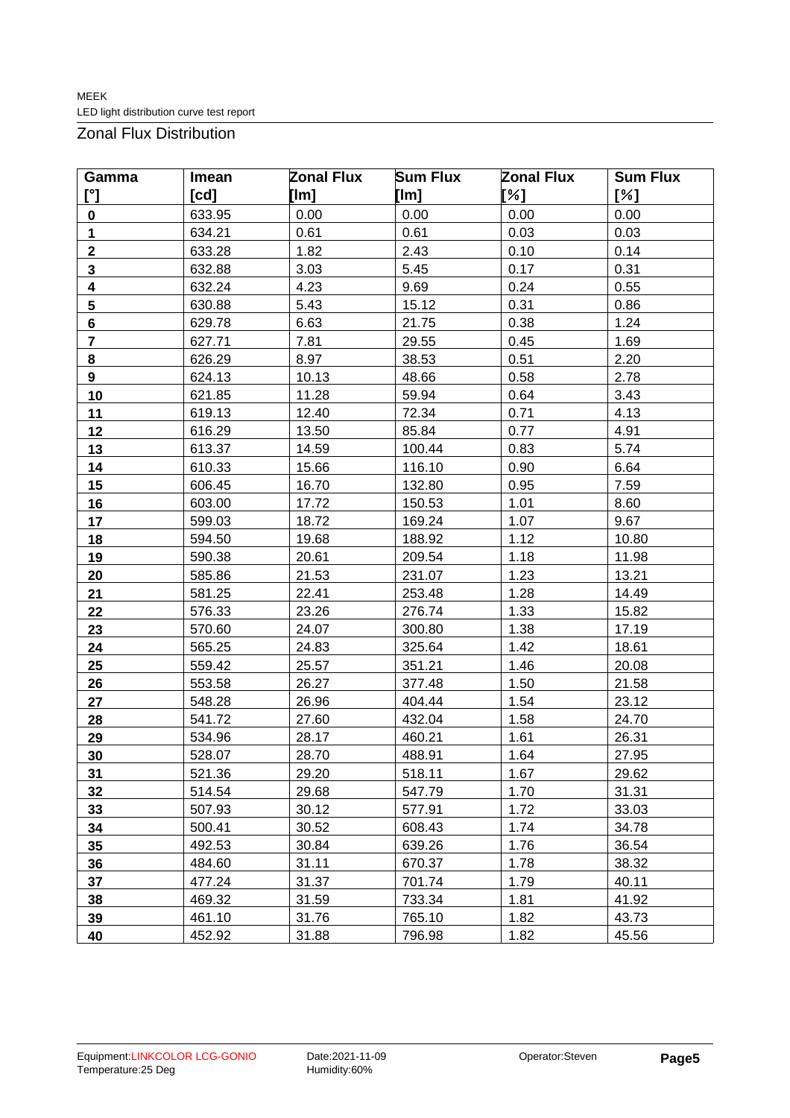Zonal Flux Distribution

| Gamma                    | Imean  | <b>Sum Flux</b><br><b>Zonal Flux</b> |        | <b>Zonal Flux</b> | <b>Sum Flux</b> |  |
|--------------------------|--------|--------------------------------------|--------|-------------------|-----------------|--|
| $\mathfrak{l}^{\circ}$ ] | [cd]   | [lm]                                 | [Im]   | [%]               | [%]             |  |
| $\pmb{0}$                | 633.95 | 0.00                                 | 0.00   | 0.00              | 0.00            |  |
| 1                        | 634.21 | 0.61                                 | 0.61   | 0.03              | 0.03            |  |
| $\overline{\mathbf{2}}$  | 633.28 | 1.82                                 | 2.43   | 0.10              | 0.14            |  |
| 3                        | 632.88 | 3.03                                 | 5.45   | 0.17              | 0.31            |  |
| 4                        | 632.24 | 4.23                                 | 9.69   | 0.24              | 0.55            |  |
| $5\phantom{.0}$          | 630.88 | 5.43                                 | 15.12  | 0.31              | 0.86            |  |
| $6\phantom{a}$           | 629.78 | 6.63                                 | 21.75  | 0.38              | 1.24            |  |
| 7                        | 627.71 | 7.81                                 | 29.55  | 0.45              | 1.69            |  |
| 8                        | 626.29 | 8.97                                 | 38.53  | 0.51              | 2.20            |  |
| 9                        | 624.13 | 10.13                                | 48.66  | 0.58              | 2.78            |  |
| 10                       | 621.85 | 11.28                                | 59.94  | 0.64              | 3.43            |  |
| 11                       | 619.13 | 12.40                                | 72.34  | 0.71              | 4.13            |  |
| 12                       | 616.29 | 13.50                                | 85.84  | 0.77              | 4.91            |  |
| 13                       | 613.37 | 14.59                                | 100.44 | 0.83              | 5.74            |  |
| 14                       | 610.33 | 15.66                                | 116.10 | 0.90              | 6.64            |  |
| 15                       | 606.45 | 16.70                                | 132.80 | 0.95              | 7.59            |  |
| 16                       | 603.00 | 17.72                                | 150.53 | 1.01              | 8.60            |  |
| 17                       | 599.03 | 18.72                                | 169.24 | 1.07              | 9.67            |  |
| 18                       | 594.50 | 19.68                                | 188.92 | 1.12              | 10.80           |  |
| 19                       | 590.38 | 20.61                                | 209.54 | 1.18              | 11.98           |  |
| 20                       | 585.86 | 21.53                                | 231.07 | 1.23              | 13.21           |  |
| 21                       | 581.25 | 22.41                                | 253.48 | 1.28              | 14.49           |  |
| 22                       | 576.33 | 23.26                                | 276.74 | 1.33              | 15.82           |  |
| 23                       | 570.60 | 24.07                                | 300.80 | 1.38              | 17.19           |  |
| 24                       | 565.25 | 24.83                                | 325.64 | 1.42              | 18.61           |  |
| 25                       | 559.42 | 25.57                                | 351.21 | 1.46              | 20.08           |  |
| 26                       | 553.58 | 26.27                                | 377.48 | 1.50              | 21.58           |  |
| 27                       | 548.28 | 26.96                                | 404.44 | 1.54              | 23.12           |  |
| 28                       | 541.72 | 27.60                                | 432.04 | 1.58              | 24.70           |  |
| 29                       | 534.96 | 28.17                                | 460.21 | 1.61              | 26.31           |  |
| 30                       | 528.07 | 28.70                                | 488.91 | 1.64              | 27.95           |  |
| 31                       | 521.36 | 29.20                                | 518.11 | 1.67              | 29.62           |  |
| 32                       | 514.54 | 29.68                                | 547.79 | 1.70              | 31.31           |  |
| 33                       | 507.93 | 30.12                                | 577.91 | 1.72              | 33.03           |  |
| 34                       | 500.41 | 30.52                                | 608.43 | 1.74              | 34.78           |  |
| 35                       | 492.53 | 30.84                                | 639.26 | 1.76              | 36.54           |  |
| 36                       | 484.60 | 31.11                                | 670.37 | 1.78              | 38.32           |  |
| 37                       | 477.24 | 31.37                                | 701.74 | 1.79              | 40.11           |  |
| 38                       | 469.32 | 31.59                                | 733.34 | 1.81              | 41.92           |  |
| 39                       | 461.10 | 31.76                                | 765.10 | 1.82              | 43.73           |  |
| 40                       | 452.92 | 31.88                                | 796.98 | 1.82              | 45.56           |  |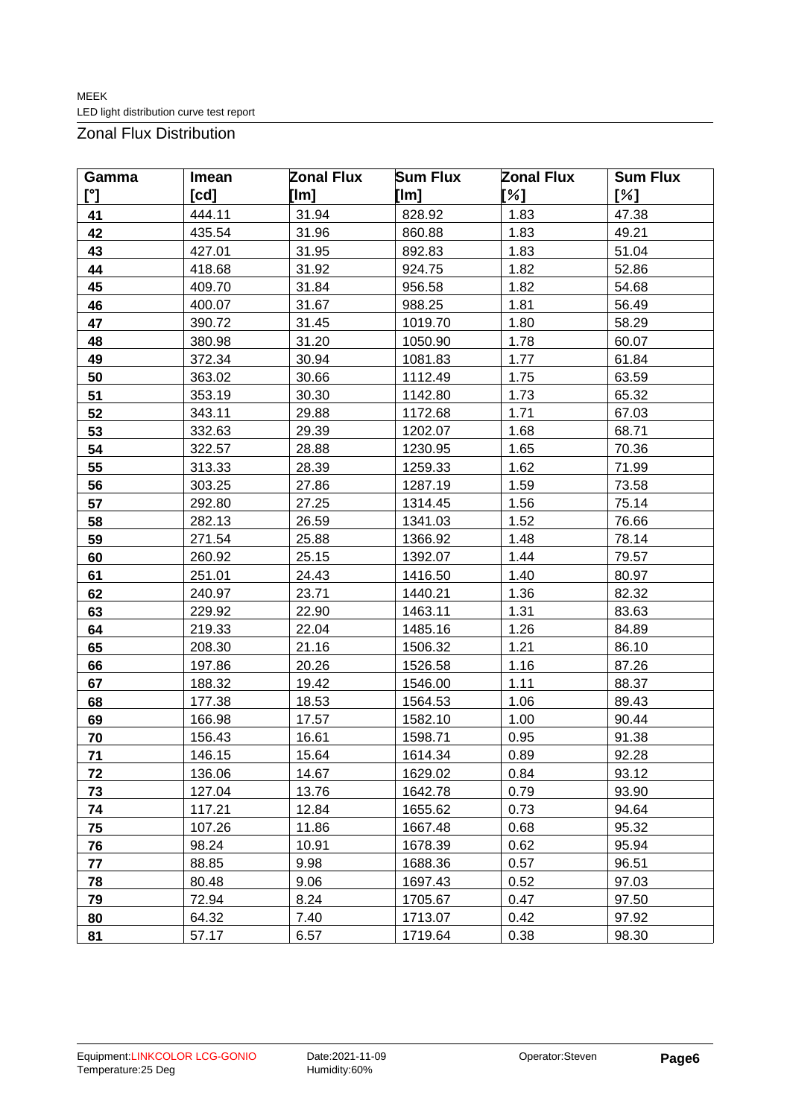Zonal Flux Distribution

| Gamma          | Imean  | <b>Zonal Flux</b> | <b>Sum Flux</b> | <b>Zonal Flux</b> | <b>Sum Flux</b> |
|----------------|--------|-------------------|-----------------|-------------------|-----------------|
| $\mathfrak{r}$ | [cd]   | [lm]              | [Im]            | [%]               | [%]             |
| 41             | 444.11 | 31.94             | 828.92          | 1.83              | 47.38           |
| 42             | 435.54 | 31.96             | 860.88          | 1.83              | 49.21           |
| 43             | 427.01 | 31.95             | 892.83          | 1.83              | 51.04           |
| 44             | 418.68 | 31.92             | 924.75          | 1.82              | 52.86           |
| 45             | 409.70 | 31.84             | 956.58          | 1.82              | 54.68           |
| 46             | 400.07 | 31.67             | 988.25          | 1.81              | 56.49           |
| 47             | 390.72 | 31.45             | 1019.70         | 1.80              | 58.29           |
| 48             | 380.98 | 31.20             | 1050.90         | 1.78              | 60.07           |
| 49             | 372.34 | 30.94             | 1081.83         | 1.77              | 61.84           |
| 50             | 363.02 | 30.66             | 1112.49         | 1.75              | 63.59           |
| 51             | 353.19 | 30.30             | 1142.80         | 1.73              | 65.32           |
| 52             | 343.11 | 29.88             | 1172.68         | 1.71              | 67.03           |
| 53             | 332.63 | 29.39             | 1202.07         | 1.68              | 68.71           |
| 54             | 322.57 | 28.88             | 1230.95         | 1.65              | 70.36           |
| 55             | 313.33 | 28.39             | 1259.33         | 1.62              | 71.99           |
| 56             | 303.25 | 27.86             | 1287.19         | 1.59              | 73.58           |
| 57             | 292.80 | 27.25             | 1314.45         | 1.56              | 75.14           |
| 58             | 282.13 | 26.59             | 1341.03         | 1.52              | 76.66           |
| 59             | 271.54 | 25.88             | 1366.92         | 1.48              | 78.14           |
| 60             | 260.92 | 25.15             | 1392.07         | 1.44              | 79.57           |
| 61             | 251.01 | 24.43             | 1416.50         | 1.40              | 80.97           |
| 62             | 240.97 | 23.71             | 1440.21         | 1.36              | 82.32           |
| 63             | 229.92 | 22.90             | 1463.11         | 1.31              | 83.63           |
| 64             | 219.33 | 22.04             | 1485.16         | 1.26              | 84.89           |
| 65             | 208.30 | 21.16             | 1506.32         | 1.21              | 86.10           |
| 66             | 197.86 | 20.26             | 1526.58         | 1.16              | 87.26           |
| 67             | 188.32 | 19.42             | 1546.00         | 1.11              | 88.37           |
| 68             | 177.38 | 18.53             | 1564.53         | 1.06              | 89.43           |
| 69             | 166.98 | 17.57             | 1582.10         | 1.00              | 90.44           |
| 70             | 156.43 | 16.61             | 1598.71         | 0.95              | 91.38           |
| 71             | 146.15 | 15.64             | 1614.34         | 0.89              | 92.28           |
| 72             | 136.06 | 14.67             | 1629.02         | 0.84              | 93.12           |
| 73             | 127.04 | 13.76             | 1642.78         | 0.79              | 93.90           |
| 74             | 117.21 | 12.84             | 1655.62         | 0.73              | 94.64           |
| 75             | 107.26 | 11.86             | 1667.48         | 0.68              | 95.32           |
| 76             | 98.24  | 10.91             | 1678.39         | 0.62              | 95.94           |
| 77             | 88.85  | 9.98              | 1688.36         | 0.57              | 96.51           |
| 78             | 80.48  | 9.06              | 1697.43         | 0.52              | 97.03           |
| 79             | 72.94  | 8.24              | 1705.67         | 0.47              | 97.50           |
| 80             | 64.32  | 7.40              | 1713.07         | 0.42              | 97.92           |
| 81             | 57.17  | 6.57              | 1719.64         | 0.38              | 98.30           |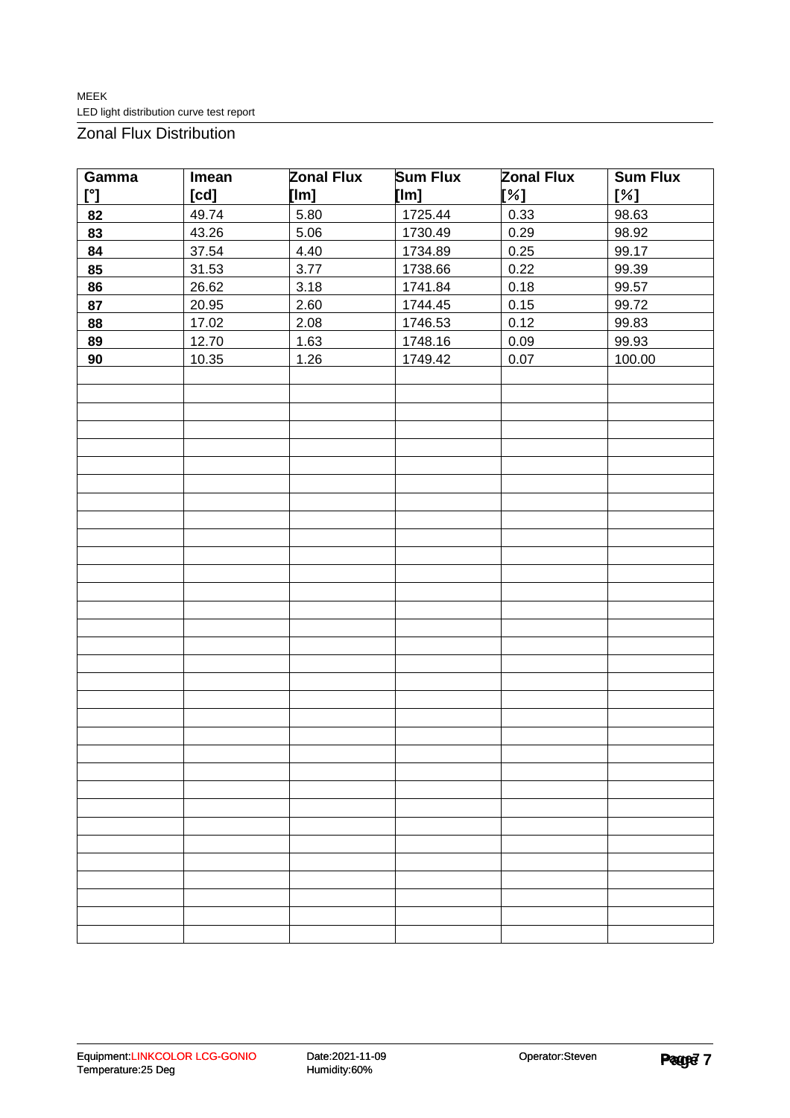Zonal Flux Distribution

| Gamma                | Imean | <b>Zonal Flux</b> | <b>Sum Flux</b> | <b>Zonal Flux</b> | <b>Sum Flux</b> |  |  |
|----------------------|-------|-------------------|-----------------|-------------------|-----------------|--|--|
| $\mathbb{I}^{\circ}$ | [cd]  | [lm]              | [lm]            | [%]               | [%]             |  |  |
| 82                   | 49.74 | 5.80              | 1725.44         | 0.33              | 98.63           |  |  |
| 83                   | 43.26 | 5.06              | 1730.49         | 0.29              | 98.92           |  |  |
| 84                   | 37.54 | 4.40              | 1734.89         | 0.25              | 99.17           |  |  |
| 85                   | 31.53 | 3.77              | 1738.66         | 0.22              | 99.39           |  |  |
| 86                   | 26.62 | 3.18              | 1741.84         | 0.18              | 99.57           |  |  |
| 87                   | 20.95 | 2.60              | 1744.45         | 0.15              | 99.72           |  |  |
| 88                   | 17.02 | 2.08              | 1746.53         | 0.12              | 99.83           |  |  |
| 89                   | 12.70 | 1.63              | 1748.16         | 0.09              | 99.93           |  |  |
| 90                   | 10.35 | 1.26              | 1749.42         | 0.07              | 100.00          |  |  |
|                      |       |                   |                 |                   |                 |  |  |
|                      |       |                   |                 |                   |                 |  |  |
|                      |       |                   |                 |                   |                 |  |  |
|                      |       |                   |                 |                   |                 |  |  |
|                      |       |                   |                 |                   |                 |  |  |
|                      |       |                   |                 |                   |                 |  |  |
|                      |       |                   |                 |                   |                 |  |  |
|                      |       |                   |                 |                   |                 |  |  |
|                      |       |                   |                 |                   |                 |  |  |
|                      |       |                   |                 |                   |                 |  |  |
|                      |       |                   |                 |                   |                 |  |  |
|                      |       |                   |                 |                   |                 |  |  |
|                      |       |                   |                 |                   |                 |  |  |
|                      |       |                   |                 |                   |                 |  |  |
|                      |       |                   |                 |                   |                 |  |  |
|                      |       |                   |                 |                   |                 |  |  |
|                      |       |                   |                 |                   |                 |  |  |
|                      |       |                   |                 |                   |                 |  |  |
|                      |       |                   |                 |                   |                 |  |  |
|                      |       |                   |                 |                   |                 |  |  |
|                      |       |                   |                 |                   |                 |  |  |
|                      |       |                   |                 |                   |                 |  |  |
|                      |       |                   |                 |                   |                 |  |  |
|                      |       |                   |                 |                   |                 |  |  |
|                      |       |                   |                 |                   |                 |  |  |
|                      |       |                   |                 |                   |                 |  |  |
|                      |       |                   |                 |                   |                 |  |  |
|                      |       |                   |                 |                   |                 |  |  |
|                      |       |                   |                 |                   |                 |  |  |
|                      |       |                   |                 |                   |                 |  |  |
|                      |       |                   |                 |                   |                 |  |  |
|                      |       |                   |                 |                   |                 |  |  |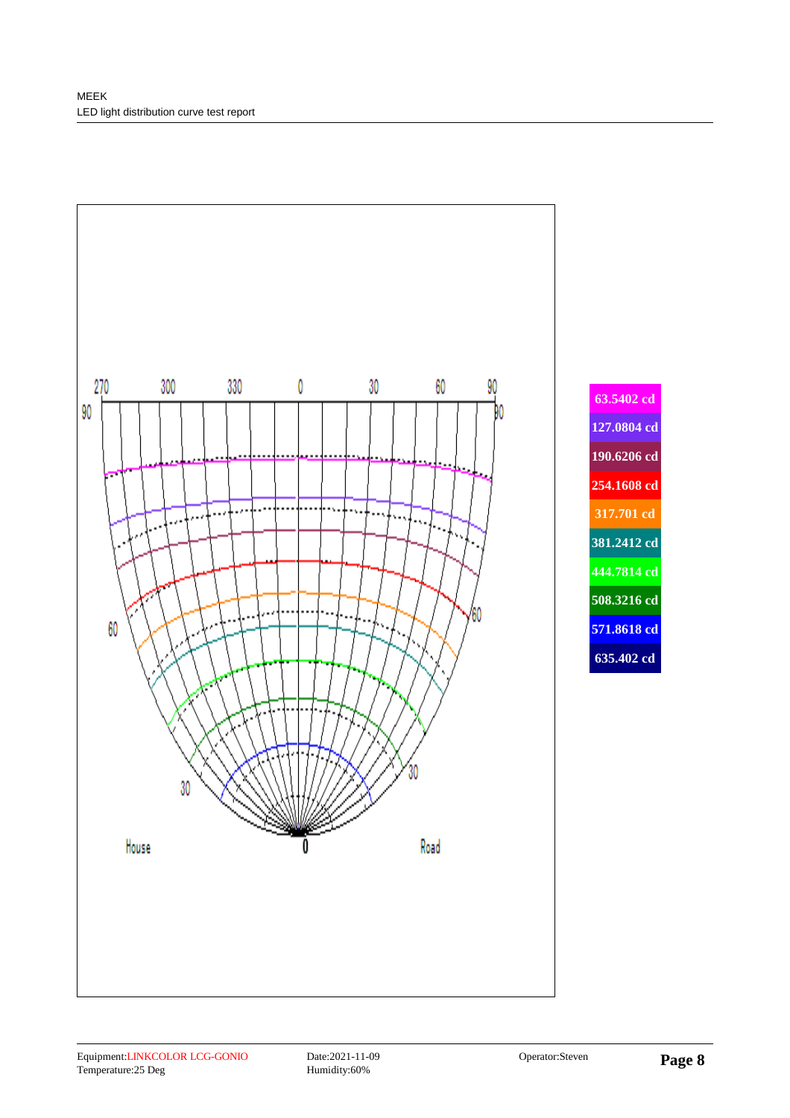

**63.5402 cd 127.0804 cd 190.6206 cd 254.1608 cd 317.701 cd 381.2412 cd 444.7814 cd 508.3216 cd 571.8618 cd 635.402 cd**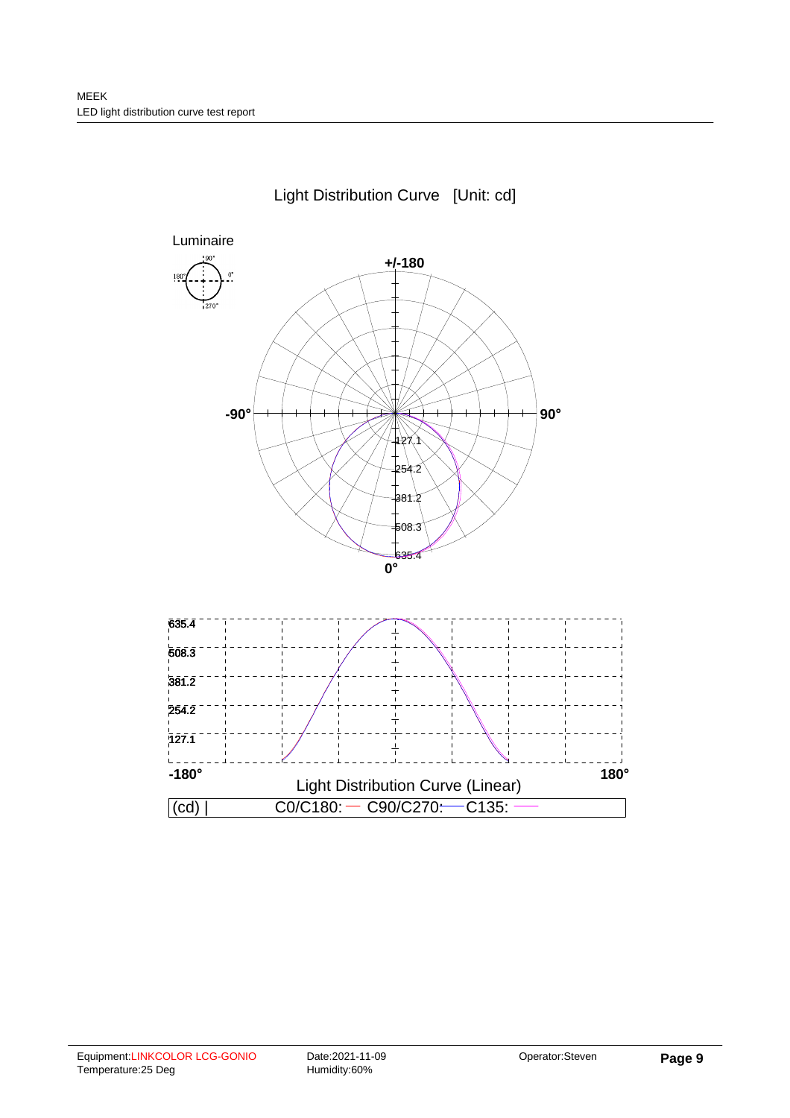

## Light Distribution Curve [Unit: cd]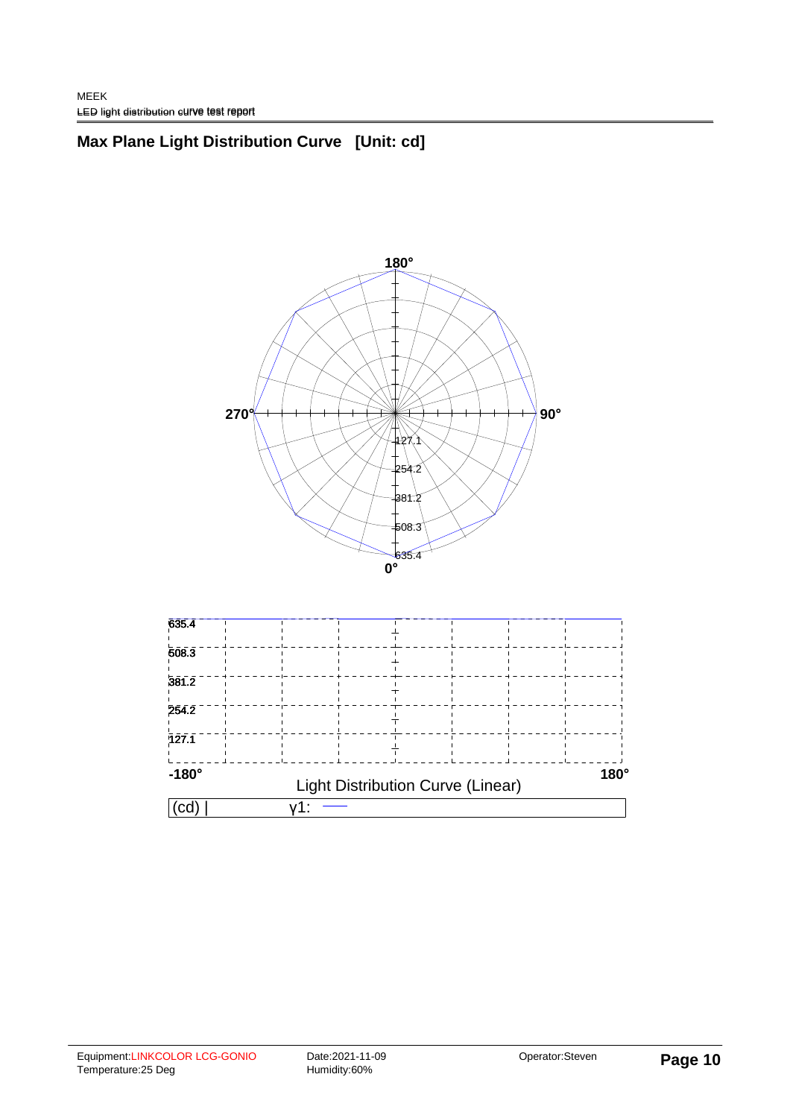# **Max Plane Light Distribution Curve [Unit: cd]**



| C.U          |                                          |  |  |  |  |  |  |  |  |  |
|--------------|------------------------------------------|--|--|--|--|--|--|--|--|--|
| $-180^\circ$ | <b>Light Distribution Curve (Linear)</b> |  |  |  |  |  |  |  |  |  |
| 127.1        |                                          |  |  |  |  |  |  |  |  |  |
| 254.2        |                                          |  |  |  |  |  |  |  |  |  |
| 381.2        |                                          |  |  |  |  |  |  |  |  |  |
| 608.3        |                                          |  |  |  |  |  |  |  |  |  |
| 635.4        |                                          |  |  |  |  |  |  |  |  |  |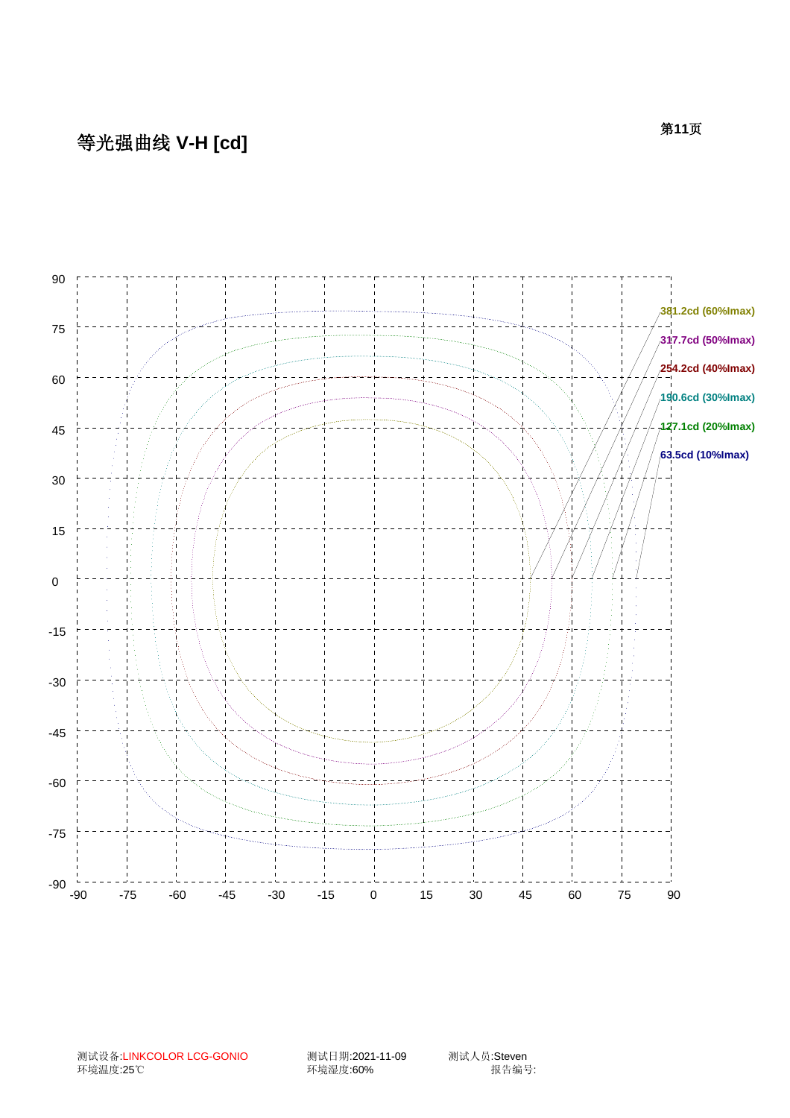# 等光强曲线 **V-H [cd]**



测试设备:LINKCOLOR LCG-GONIO 测试日期:2021-11-09 测试人员:Steven

……<br>环境湿度:60%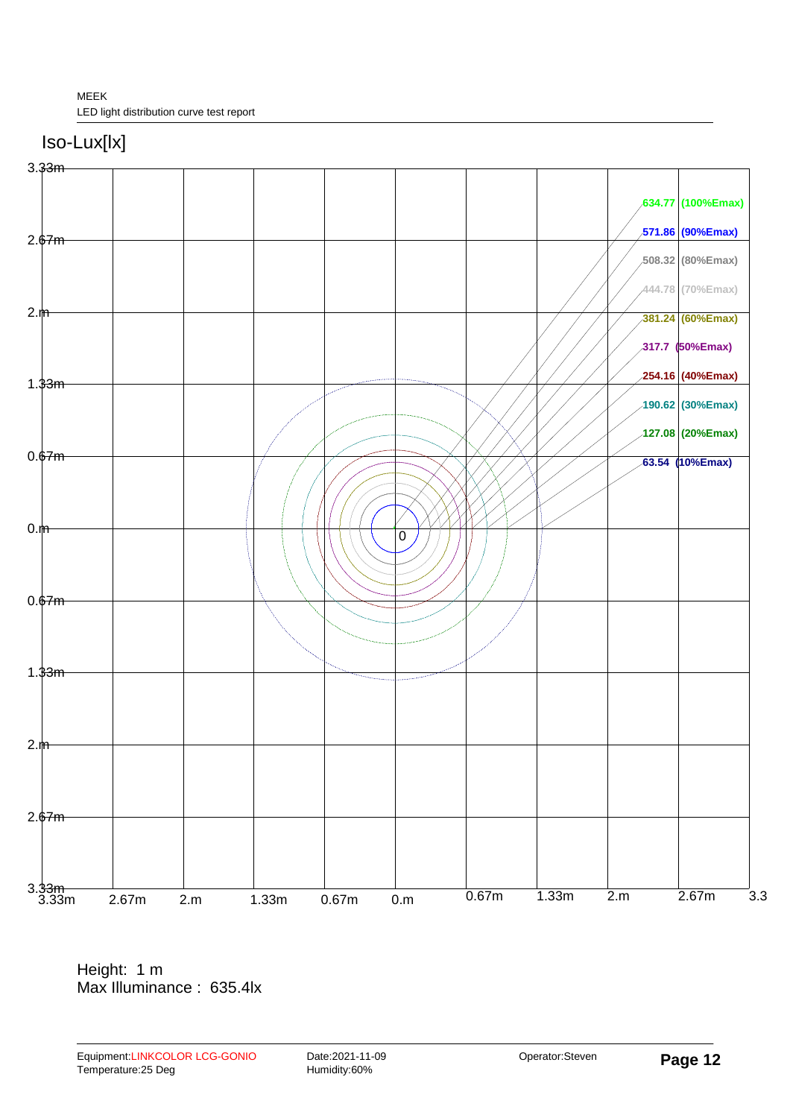



Height: 1 m Max Illuminance : 635.4lx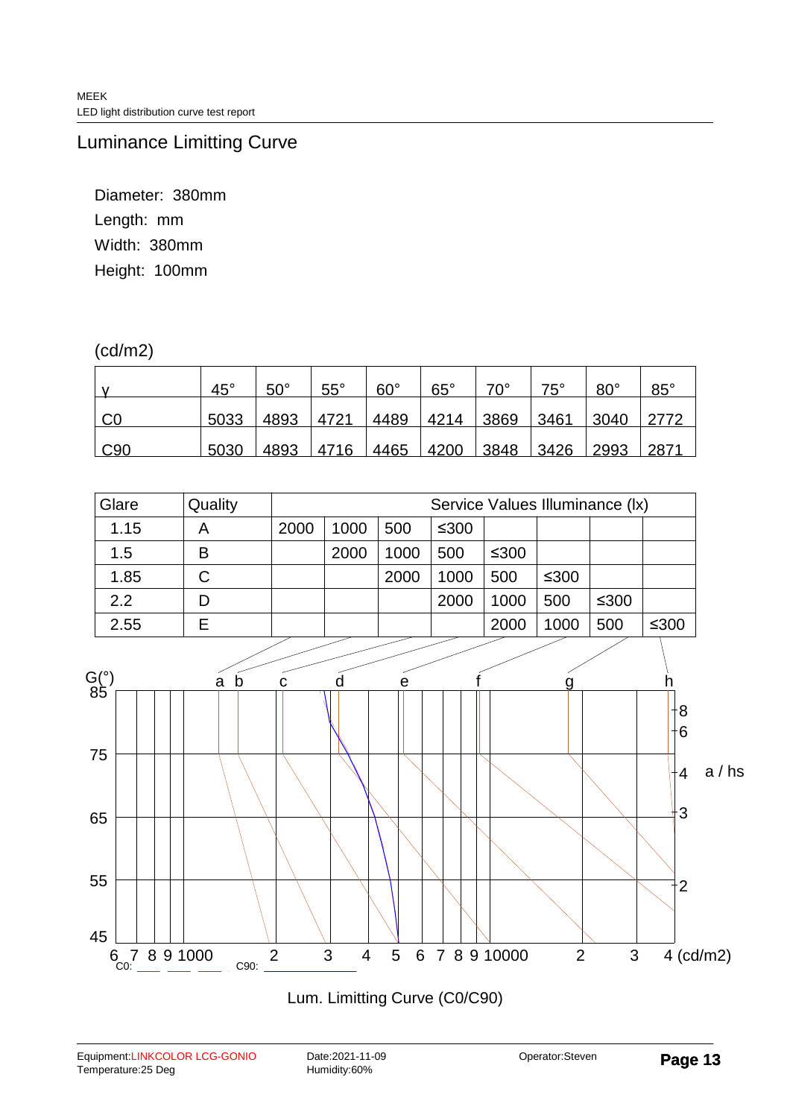Luminance Limitting Curve

Diameter: 380mm Length: mm Width: 380mm Height: 100mm

### (cd/m2)

|                        | $45^{\circ}$ | $50^\circ$ | $55^{\circ}$ | $60^{\circ}$   | $65^\circ$ | $70^{\circ}$   | $75^\circ$ | $80^{\circ}$ | $85^{\circ}$ |
|------------------------|--------------|------------|--------------|----------------|------------|----------------|------------|--------------|--------------|
| C <sub>0</sub>         | 5033         | 4893       | 4721         | 4489           | 4214       | 3869           | 3461       | 3040         |              |
| $\mid$ C <sub>90</sub> | 5030         | 4893       |              | 4716 4465 4200 |            | 3848 3426 2993 |            |              | 2871         |

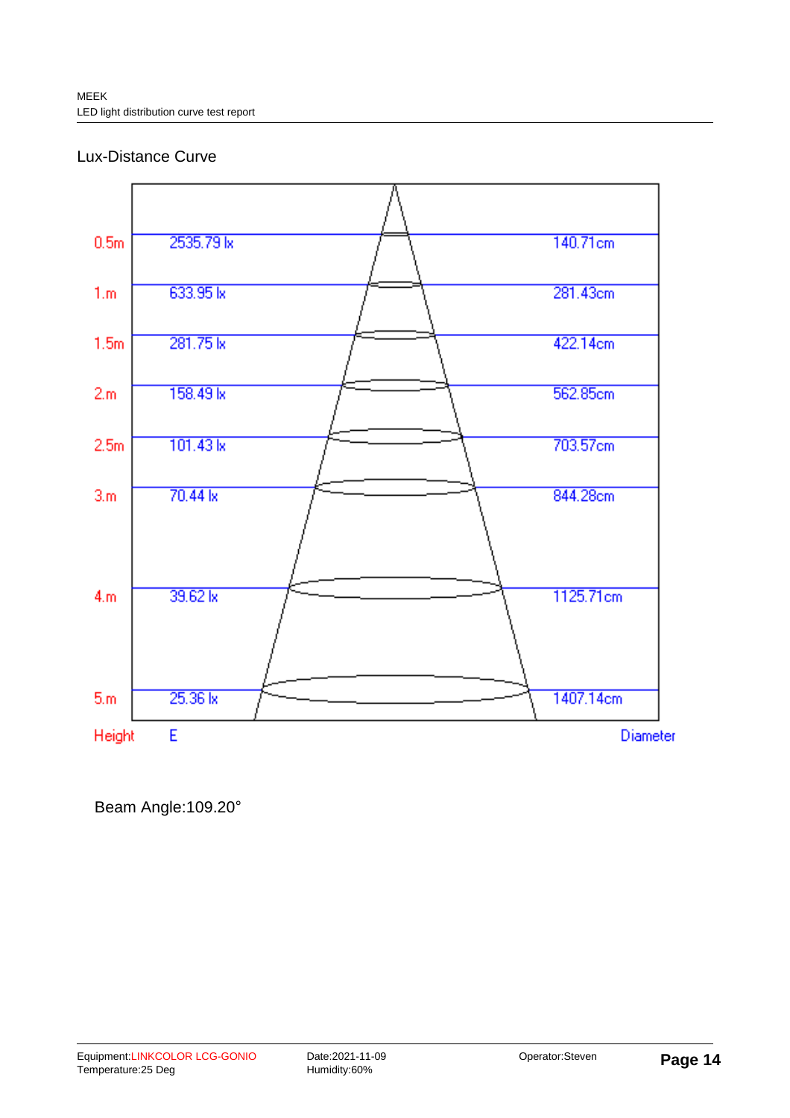#### Lux-Distance Curve



Beam Angle:109.20°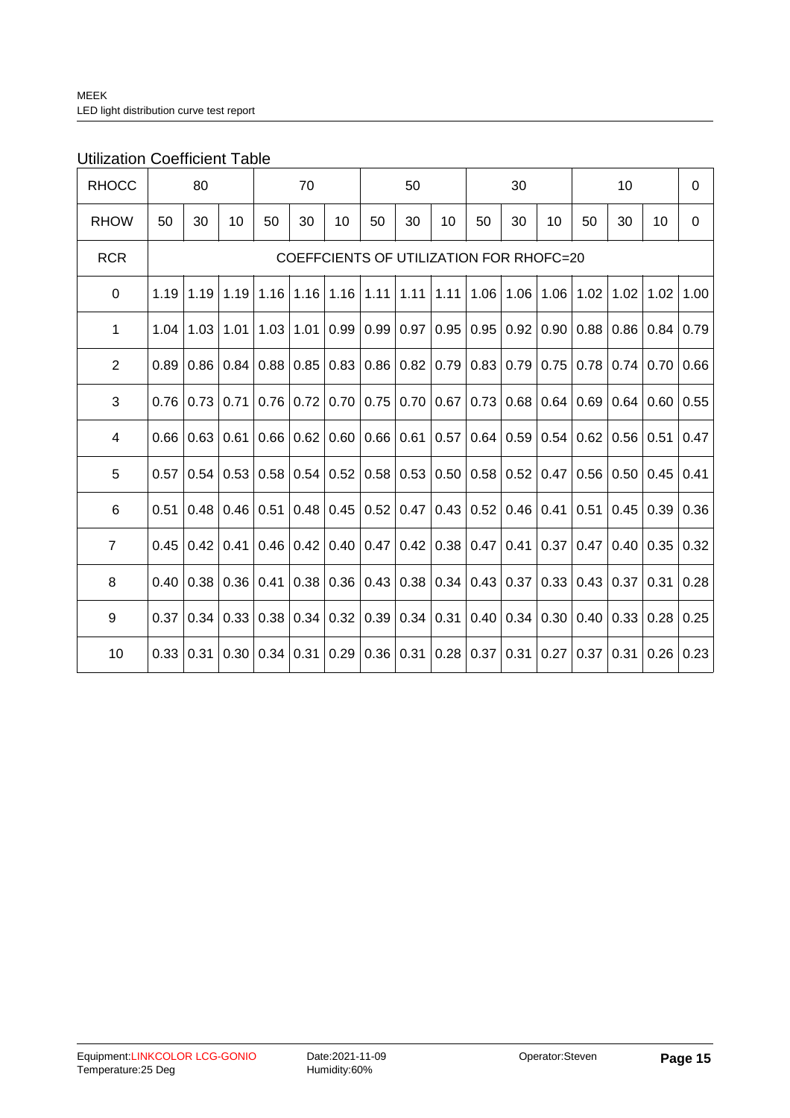### Utilization Coefficient Table

| <b>RHOCC</b>   | 80   |                                         |      |      | 70   |      |      | 50   |      |      | 30               |      |      | 10   |      | $\mathbf 0$ |
|----------------|------|-----------------------------------------|------|------|------|------|------|------|------|------|------------------|------|------|------|------|-------------|
| <b>RHOW</b>    | 50   | 30                                      | 10   | 50   | 30   | 10   | 50   | 30   | 10   | 50   | 30               | 10   | 50   | 30   | 10   | $\mathbf 0$ |
| <b>RCR</b>     |      | COEFFCIENTS OF UTILIZATION FOR RHOFC=20 |      |      |      |      |      |      |      |      |                  |      |      |      |      |             |
| 0              | 1.19 | 1.19                                    | 1.19 | 1.16 | 1.16 | 1.16 | 1.11 | 1.11 | 1.11 | 1.06 | 1.06             | 1.06 | 1.02 | 1.02 | 1.02 | 1.00        |
| 1              | 1.04 | 1.03                                    | 1.01 | 1.03 | 1.01 | 0.99 | 0.99 | 0.97 | 0.95 | 0.95 | 0.92             | 0.90 | 0.88 | 0.86 | 0.84 | 0.79        |
| $\overline{2}$ | 0.89 | 0.86                                    | 0.84 | 0.88 | 0.85 | 0.83 | 0.86 | 0.82 | 0.79 | 0.83 | 0.79             | 0.75 | 0.78 | 0.74 | 0.70 | 0.66        |
| 3              | 0.76 | 0.73                                    | 0.71 | 0.76 | 0.72 | 0.70 | 0.75 | 0.70 | 0.67 | 0.73 | 0.68             | 0.64 | 0.69 | 0.64 | 0.60 | 0.55        |
| 4              | 0.66 | 0.63                                    | 0.61 | 0.66 | 0.62 | 0.60 | 0.66 | 0.61 | 0.57 |      | 0.64   0.59      | 0.54 | 0.62 | 0.56 | 0.51 | 0.47        |
| 5              | 0.57 | 0.54                                    | 0.53 | 0.58 | 0.54 | 0.52 | 0.58 | 0.53 | 0.50 |      | 0.58   0.52      | 0.47 | 0.56 | 0.50 | 0.45 | 0.41        |
| 6              | 0.51 | 0.48                                    | 0.46 | 0.51 | 0.48 | 0.45 | 0.52 | 0.47 | 0.43 |      | 0.52   0.46      | 0.41 | 0.51 | 0.45 | 0.39 | 0.36        |
| $\overline{7}$ | 0.45 | 0.42                                    | 0.41 | 0.46 | 0.42 | 0.40 | 0.47 | 0.42 | 0.38 | 0.47 | 0.41             | 0.37 | 0.47 | 0.40 | 0.35 | 0.32        |
| 8              | 0.40 | 0.38                                    | 0.36 | 0.41 | 0.38 | 0.36 | 0.43 | 0.38 | 0.34 |      | $0.43 \mid 0.37$ | 0.33 | 0.43 | 0.37 | 0.31 | 0.28        |
| 9              | 0.37 | 0.34                                    | 0.33 | 0.38 | 0.34 | 0.32 | 0.39 | 0.34 | 0.31 |      | 0.40   0.34      | 0.30 | 0.40 | 0.33 | 0.28 | 0.25        |
| 10             | 0.33 | 0.31                                    | 0.30 | 0.34 | 0.31 | 0.29 | 0.36 | 0.31 | 0.28 |      | 0.37 0.31        | 0.27 | 0.37 | 0.31 | 0.26 | 0.23        |